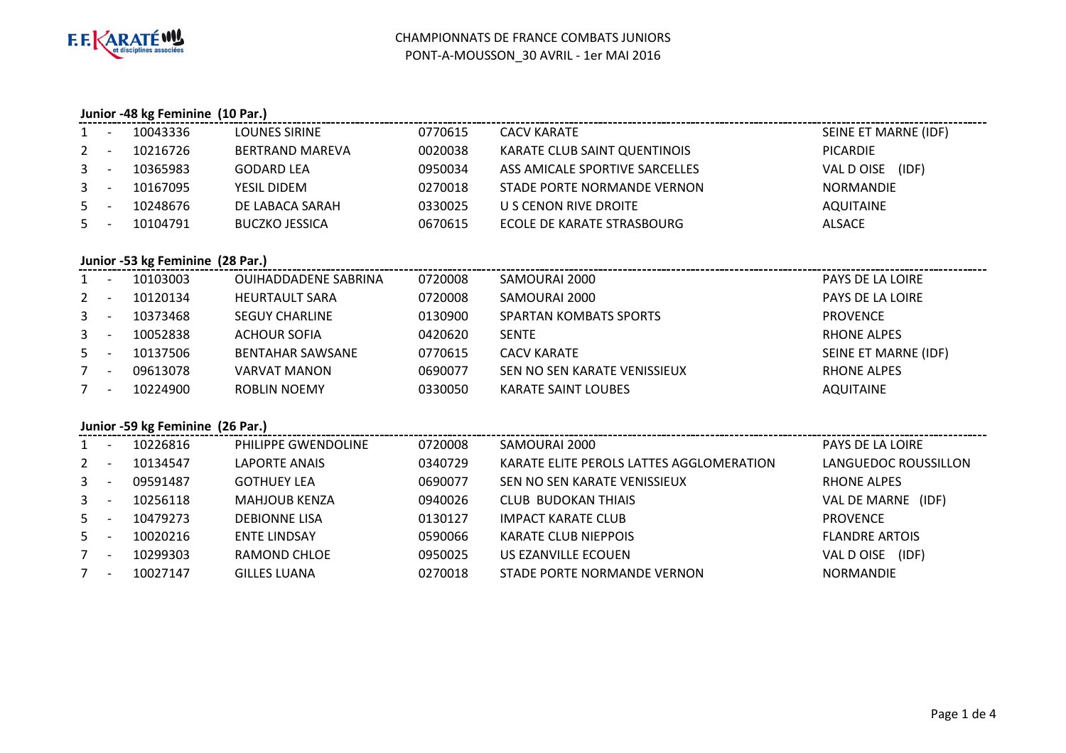

### **Junior -48 kg Feminine (10 Par.)**

| $1 -$   | 10043336 | LOUNES SIRINE         | 0770615 | <b>CACV KARATE</b>             | SEINE ET MARNE (IDF) |
|---------|----------|-----------------------|---------|--------------------------------|----------------------|
| $2 -$   | 10216726 | BERTRAND MAREVA       | 0020038 | KARATE CLUB SAINT QUENTINOIS   | PICARDIE             |
| $3 -$   | 10365983 | <b>GODARD LEA</b>     | 0950034 | ASS AMICALE SPORTIVE SARCELLES | VAL D OISE (IDF)     |
| $3 - 5$ | 10167095 | YESIL DIDEM           | 0270018 | STADE PORTE NORMANDE VERNON    | <b>NORMANDIE</b>     |
| $5 -$   | 10248676 | DE LABACA SARAH       | 0330025 | U S CENON RIVE DROITE          | AQUITAINE            |
| $5 -$   | 10104791 | <b>BUCZKO JESSICA</b> | 0670615 | ECOLE DE KARATE STRASBOURG     | <b>ALSACE</b>        |
|         |          |                       |         |                                |                      |

### **Junior -53 kg Feminine (28 Par.)**

| $1 -$ |                          | 10103003 | <b>OUIHADDADENE SABRINA</b> | 0720008 | SAMOURAI 2000                 | <b>PAYS DE LA LOIRE</b> |
|-------|--------------------------|----------|-----------------------------|---------|-------------------------------|-------------------------|
| $2 -$ |                          | 10120134 | <b>HEURTAULT SARA</b>       | 0720008 | SAMOURAI 2000                 | <b>PAYS DE LA LOIRE</b> |
| $3 -$ |                          | 10373468 | <b>SEGUY CHARLINE</b>       | 0130900 | <b>SPARTAN KOMBATS SPORTS</b> | <b>PROVENCE</b>         |
| $3 -$ |                          | 10052838 | <b>ACHOUR SOFIA</b>         | 0420620 | <b>SENTE</b>                  | <b>RHONE ALPES</b>      |
| $5 -$ |                          | 10137506 | <b>BENTAHAR SAWSANE</b>     | 0770615 | CACV KARATE                   | SEINE ET MARNE (IDF)    |
| $7 -$ |                          | 09613078 | <b>VARVAT MANON</b>         | 0690077 | SEN NO SEN KARATE VENISSIEUX  | RHONE ALPES             |
|       | $\overline{\phantom{a}}$ | 10224900 | ROBLIN NOEMY                | 0330050 | <b>KARATE SAINT LOUBES</b>    | AQUITAINE               |

## **Junior -59 kg Feminine (26 Par.)**

| $1 -$   |                          | 10226816 | PHILIPPE GWENDOLINE  | 0720008 | SAMOURAI 2000                            | PAYS DE LA LOIRE      |
|---------|--------------------------|----------|----------------------|---------|------------------------------------------|-----------------------|
| $2 -$   |                          | 10134547 | <b>LAPORTE ANAIS</b> | 0340729 | KARATE ELITE PEROLS LATTES AGGLOMERATION | LANGUEDOC ROUSSILLON  |
| $3 - 5$ |                          | 09591487 | <b>GOTHUEY LEA</b>   | 0690077 | SEN NO SEN KARATE VENISSIEUX             | RHONE ALPES           |
| $3 - 5$ |                          | 10256118 | <b>MAHJOUB KENZA</b> | 0940026 | <b>CLUB BUDOKAN THIAIS</b>               | VAL DE MARNE (IDF)    |
| $5 -$   |                          | 10479273 | <b>DEBIONNE LISA</b> | 0130127 | <b>IMPACT KARATE CLUB</b>                | <b>PROVENCE</b>       |
| $5 -$   |                          | 10020216 | <b>ENTE LINDSAY</b>  | 0590066 | <b>KARATE CLUB NIEPPOIS</b>              | <b>FLANDRE ARTOIS</b> |
| $7 -$   |                          | 10299303 | RAMOND CHLOE         | 0950025 | US EZANVILLE ECOUEN                      | (IDF)<br>VAL D OISE   |
| 7       | $\overline{\phantom{a}}$ | 10027147 | <b>GILLES LUANA</b>  | 0270018 | STADE PORTE NORMANDE VERNON              | NORMANDIE             |
|         |                          |          |                      |         |                                          |                       |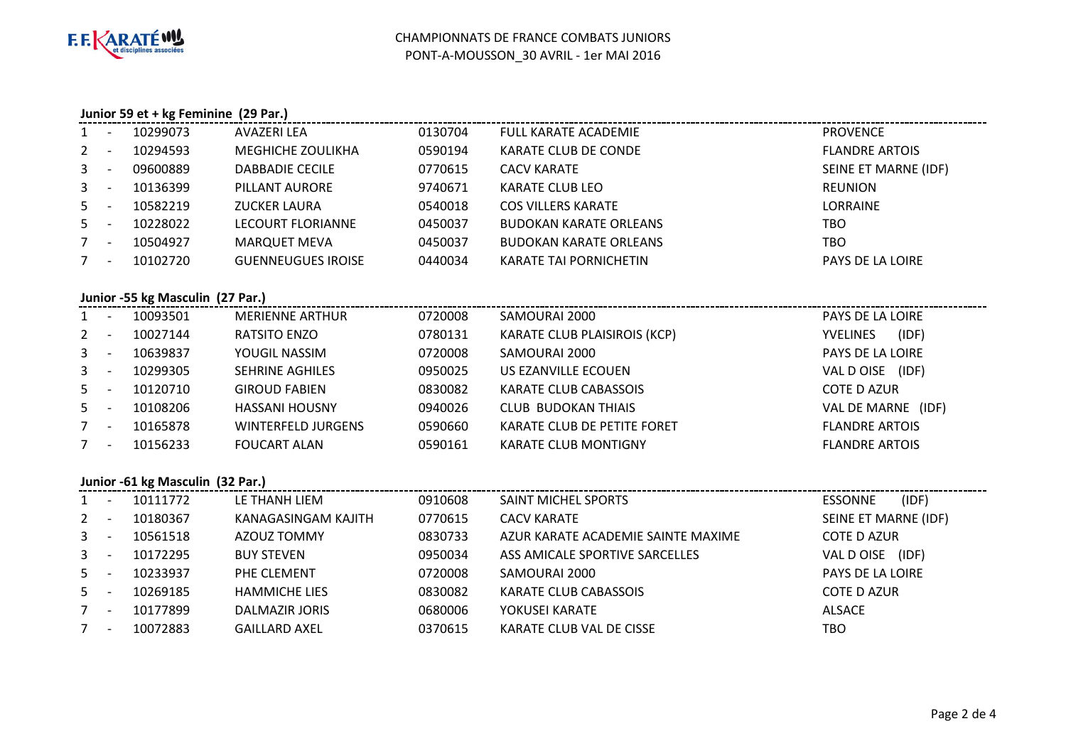

### **Junior 59 et + kg Feminine (29 Par.)**

| <b>FLANDRE ARTOIS</b> |
|-----------------------|
| SEINE ET MARNE (IDF)  |
|                       |
|                       |
|                       |
|                       |
|                       |
| PAYS DE LA LOIRE      |

### **Junior -55 kg Masculin (27 Par.)**

| $1 -$   |                          | 10093501 | <b>MERIENNE ARTHUR</b>    | 0720008 | SAMOURAI 2000                       | PAYS DE LA LOIRE         |
|---------|--------------------------|----------|---------------------------|---------|-------------------------------------|--------------------------|
| $2 -$   |                          | 10027144 | RATSITO ENZO              | 0780131 | <b>KARATE CLUB PLAISIROIS (KCP)</b> | (IDF)<br><b>YVELINES</b> |
| $3 - 5$ |                          | 10639837 | YOUGIL NASSIM             | 0720008 | SAMOURAI 2000                       | PAYS DE LA LOIRE         |
| $3 - 5$ |                          | 10299305 | <b>SEHRINE AGHILES</b>    | 0950025 | US EZANVILLE ECOUEN                 | (IDF)<br>VAL D OISE      |
| $5 -$   |                          | 10120710 | <b>GIROUD FABIEN</b>      | 0830082 | KARATE CLUB CABASSOIS               | <b>COTE D AZUR</b>       |
| $5 -$   |                          | 10108206 | <b>HASSANI HOUSNY</b>     | 0940026 | <b>CLUB BUDOKAN THIAIS</b>          | VAL DE MARNE (IDF)       |
| $7 -$   |                          | 10165878 | <b>WINTERFELD JURGENS</b> | 0590660 | KARATE CLUB DE PETITE FORET         | <b>FLANDRE ARTOIS</b>    |
| 7       | $\overline{\phantom{a}}$ | 10156233 | <b>FOUCART ALAN</b>       | 0590161 | <b>KARATE CLUB MONTIGNY</b>         | <b>FLANDRE ARTOIS</b>    |
|         |                          |          |                           |         |                                     |                          |

## **Junior -61 kg Masculin (32 Par.)**

| $1 -$ | 10111772 | LE THANH LIEM        | 0910608 | SAINT MICHEL SPORTS                | (IDF)<br><b>ESSONNE</b> |
|-------|----------|----------------------|---------|------------------------------------|-------------------------|
| $2 -$ | 10180367 | KANAGASINGAM KAJITH  | 0770615 | <b>CACV KARATE</b>                 | SEINE ET MARNE (IDF)    |
| $3 -$ | 10561518 | AZOUZ TOMMY          | 0830733 | AZUR KARATE ACADEMIE SAINTE MAXIME | <b>COTE D AZUR</b>      |
| $3 -$ | 10172295 | <b>BUY STEVEN</b>    | 0950034 | ASS AMICALE SPORTIVE SARCELLES     | VAL D OISE (IDF)        |
| $5 -$ | 10233937 | PHE CLEMENT          | 0720008 | SAMOURAI 2000                      | PAYS DE LA LOIRE        |
| $5 -$ | 10269185 | <b>HAMMICHE LIES</b> | 0830082 | <b>KARATE CLUB CABASSOIS</b>       | COTE D AZUR             |
| $7 -$ | 10177899 | DALMAZIR JORIS       | 0680006 | YOKUSEI KARATE                     | <b>ALSACE</b>           |
| $7 -$ | 10072883 | <b>GAILLARD AXEL</b> | 0370615 | KARATE CLUB VAL DE CISSE           | тво                     |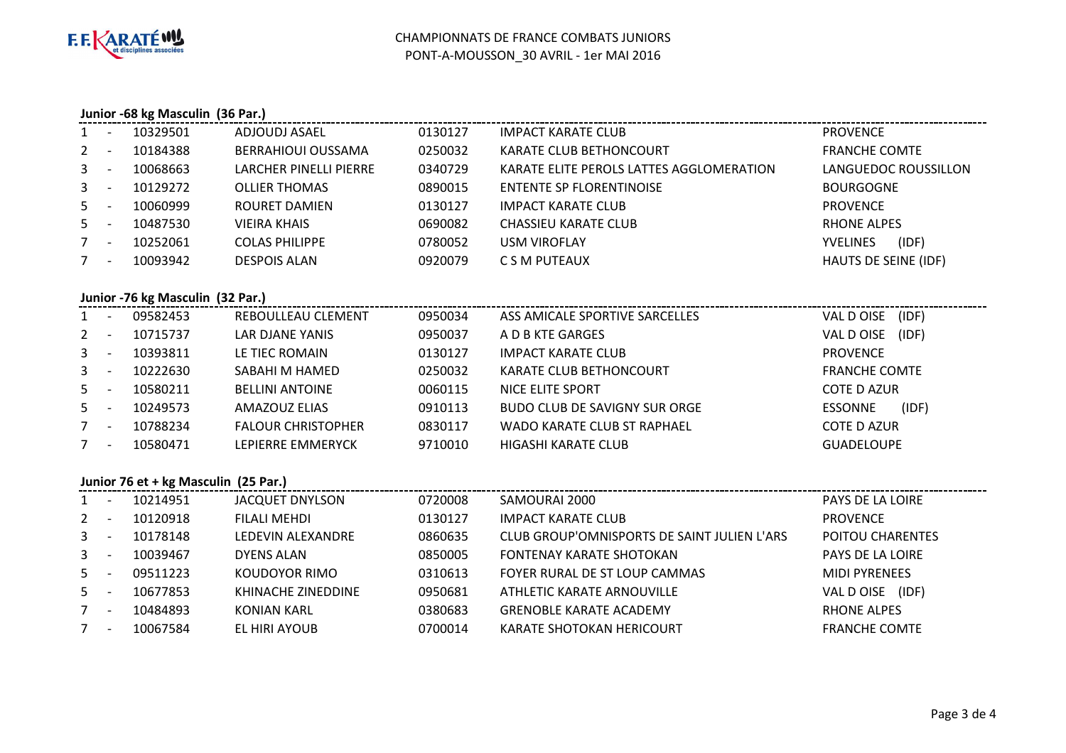

# **Junior -68 kg Masculin (36 Par.)**

|             | <b>.</b>                 | 10329501 | ADJOUDJ ASAEL          | 0130127 | <b>IMPACT KARATE CLUB</b>                | <b>PROVENCE</b>          |
|-------------|--------------------------|----------|------------------------|---------|------------------------------------------|--------------------------|
| $2^{\circ}$ | $\overline{\phantom{a}}$ | 10184388 | BERRAHIOUI OUSSAMA     | 0250032 | KARATE CLUB BETHONCOURT                  | <b>FRANCHE COMTE</b>     |
| $3 -$       |                          | 10068663 | LARCHER PINELLI PIERRE | 0340729 | KARATE ELITE PEROLS LATTES AGGLOMERATION | LANGUEDOC ROUSSILLON     |
| $3 -$       |                          | 10129272 | <b>OLLIER THOMAS</b>   | 0890015 | ENTENTE SP FLORENTINOISE                 | <b>BOURGOGNE</b>         |
| $5 -$       |                          | 10060999 | ROURET DAMIEN          | 0130127 | <b>IMPACT KARATE CLUB</b>                | <b>PROVENCE</b>          |
| $5 -$       |                          | 10487530 | <b>VIEIRA KHAIS</b>    | 0690082 | <b>CHASSIEU KARATE CLUB</b>              | <b>RHONE ALPES</b>       |
|             | $\overline{\phantom{a}}$ | 10252061 | <b>COLAS PHILIPPE</b>  | 0780052 | <b>USM VIROFLAY</b>                      | (IDF)<br><b>YVELINES</b> |
|             | $\overline{\phantom{a}}$ | 10093942 | <b>DESPOIS ALAN</b>    | 0920079 | C S M PUTEAUX                            | HAUTS DE SEINE (IDF)     |

## **Junior -76 kg Masculin (32 Par.)**

| $1 -$       |                          | 09582453 | REBOULLEAU CLEMENT        | 0950034 | ASS AMICALE SPORTIVE SARCELLES       | (IDF)<br>VAL D OISE     |
|-------------|--------------------------|----------|---------------------------|---------|--------------------------------------|-------------------------|
| $2^{\circ}$ | - -                      | 10715737 | LAR DJANE YANIS           | 0950037 | A D B KTE GARGES                     | (IDF)<br>VAL D OISE     |
| $3 - 5$     |                          | 10393811 | LE TIEC ROMAIN            | 0130127 | <b>IMPACT KARATE CLUB</b>            | <b>PROVENCE</b>         |
| $3 - 5$     |                          | 10222630 | SABAHI M HAMED            | 0250032 | KARATE CLUB BETHONCOURT              | <b>FRANCHE COMTE</b>    |
| $5 -$       |                          | 10580211 | <b>BELLINI ANTOINE</b>    | 0060115 | NICE ELITE SPORT                     | <b>COTE D AZUR</b>      |
| $5 -$       |                          | 10249573 | AMAZOUZ ELIAS             | 0910113 | <b>BUDO CLUB DE SAVIGNY SUR ORGE</b> | (IDF)<br><b>ESSONNE</b> |
| $7 -$       |                          | 10788234 | <b>FALOUR CHRISTOPHER</b> | 0830117 | WADO KARATE CLUB ST RAPHAEL          | <b>COTE D AZUR</b>      |
|             | $\overline{\phantom{a}}$ | 10580471 | LEPIERRE EMMERYCK         | 9710010 | HIGASHI KARATE CLUB                  | <b>GUADELOUPE</b>       |
|             |                          |          |                           |         |                                      |                         |

## **Junior 76 et + kg Masculin (25 Par.)**

| $1 -$          |                          | 10214951 | JACQUET DNYLSON     | 0720008 | SAMOURAI 2000                               | PAYS DE LA LOIRE        |
|----------------|--------------------------|----------|---------------------|---------|---------------------------------------------|-------------------------|
| $2^{\circ}$    | - -                      | 10120918 | <b>FILALI MEHDI</b> | 0130127 | <b>IMPACT KARATE CLUB</b>                   | <b>PROVENCE</b>         |
| 3 <sup>7</sup> | <b>.</b>                 | 10178148 | LEDEVIN ALEXANDRE   | 0860635 | CLUB GROUP'OMNISPORTS DE SAINT JULIEN L'ARS | <b>POITOU CHARENTES</b> |
| $3 -$          |                          | 10039467 | DYENS ALAN          | 0850005 | FONTENAY KARATE SHOTOKAN                    | PAYS DE LA LOIRE        |
| $5 -$          |                          | 09511223 | KOUDOYOR RIMO       | 0310613 | FOYER RURAL DE ST LOUP CAMMAS               | <b>MIDI PYRENEES</b>    |
| $5 -$          |                          | 10677853 | KHINACHE ZINEDDINE  | 0950681 | ATHLETIC KARATE ARNOUVILLE                  | VAL D OISE (IDF)        |
|                | $\overline{\phantom{a}}$ | 10484893 | KONIAN KARL         | 0380683 | <b>GRENOBLE KARATE ACADEMY</b>              | RHONE ALPES             |
|                | <b>.</b>                 | 10067584 | EL HIRI AYOUB       | 0700014 | <b>KARATE SHOTOKAN HERICOURT</b>            | <b>FRANCHE COMTE</b>    |